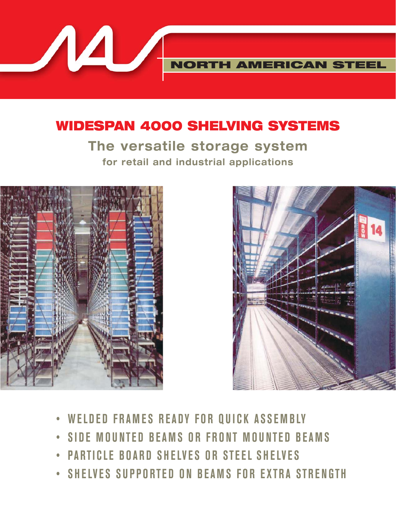**WIDESPAN 4000 SHELVING SYSTEMS**

**The versatile storage system for retail and industrial applications**



 $\boldsymbol{\mathcal{A}}$ 



**NORTH AMERICAN STEEL**

- **WELDED FRAMES READY FOR QUICK ASSEMBLY**
- **SIDE MOUNTED BEAMS OR FRONT MOUNTED BEAMS**
- **PARTICLE BOARD SHELVES OR STEEL SHELVES**
- **SHELVES SUPPORTED ON BEAMS FOR EXTRA STRENGTH**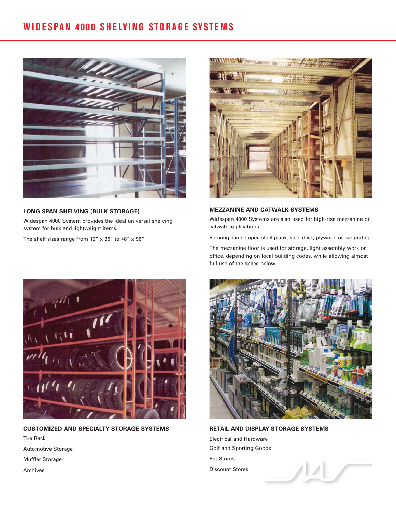## **WIDESPAN 4000 SHELVING STORAGE SYSTEMS**



### **LONG SPAN SHELVING (BULK STORAGE)**

Widespan 4000 System provides the ideal universal shelving system for bulk and lightweight items.

The shelf sizes range from  $12'' \times 36''$  to  $48'' \times 96''$ .



**MEZZANINE AND CATWALK SYSTEMS**

Widespan 4000 Systems are also used for high-rise mezzanine or catwalk applications.

Flooring can be open steel plank, steel deck, plywood or bar grating.

The mezzanine floor is used for storage, light assembly work or office, depending on local building codes, while allowing almost full use of the space below.



**CUSTOMIZED AND SPECIALTY STORAGE SYSTEMS** Tire Rack Automotive Storage Muffler Storage Archives



**RETAIL AND DISPLAY STORAGE SYSTEMS** Electrical and Hardware Golf and Sporting Goods Pet Stores Discount Stores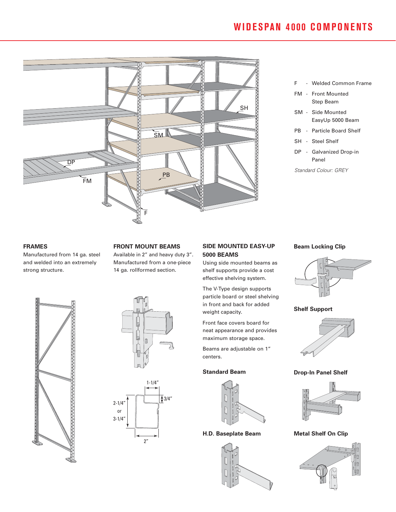# **WIDESPAN 4000 COMPONENTS**



- F Welded Common Frame
- FM Front Mounted Step Beam
- SM Side Mounted EasyUp 5000 Beam
- PB Particle Board Shelf
- SH Steel Shelf
- DP Galvanized Drop-in Panel
- Standard Colour: GREY

#### **FRAMES**

Manufactured from 14 ga. steel and welded into an extremely strong structure.

#### **FRONT MOUNT BEAMS**

Available in 2" and heavy duty 3". Manufactured from a one-piece 14 ga. rollformed section.



Using side mounted beams as shelf supports provide a cost effective shelving system.

particle board or steel shelving in front and back for added

neat appearance and provides maximum storage space.

Beams are adjustable on 1" centers.

#### **Standard Beam**



**H.D. Baseplate Beam**



#### **Beam Locking Clip**





**Drop-In Panel Shelf**



**Metal Shelf On Clip** 







2"



The V-Type design supports

weight capacity. Front face covers board for